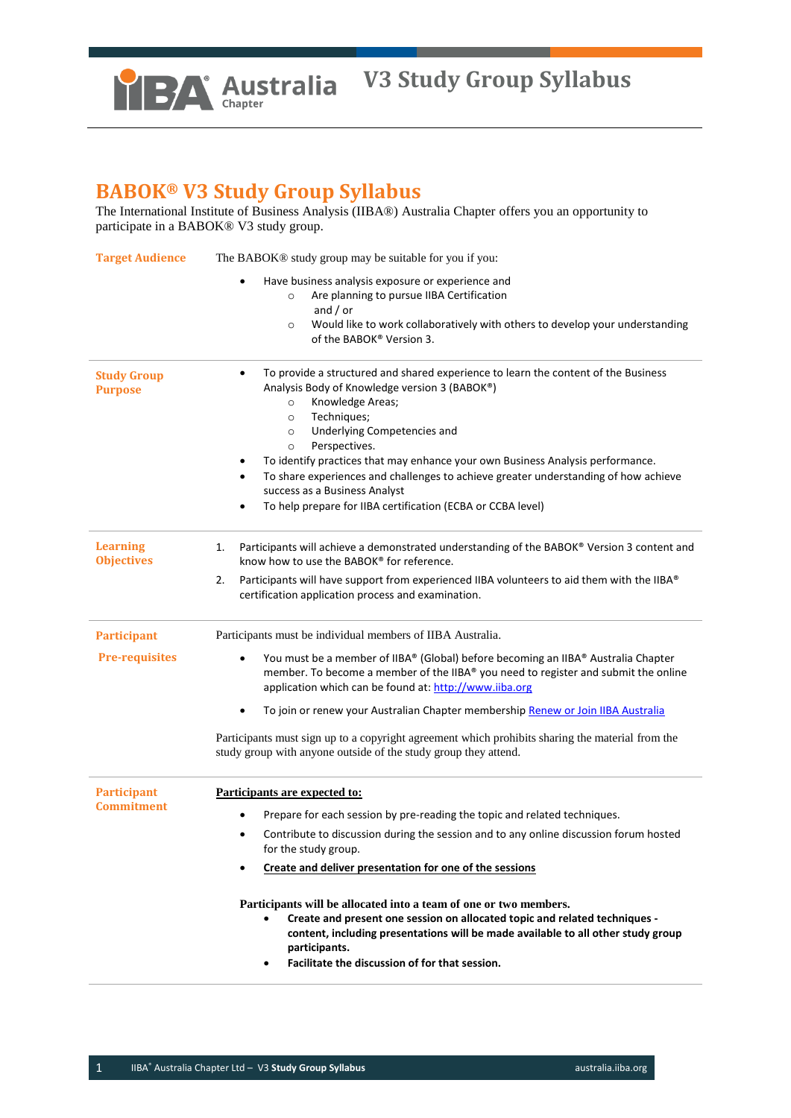

## **BABOK® V3 Study Group Syllabus**

The International Institute of Business Analysis (IIBA®) Australia Chapter offers you an opportunity to participate in a BABOK® V3 study group.

| <b>Target Audience</b>               | The BABOK® study group may be suitable for you if you:                                                                                                                                                                                                                                                              |  |  |
|--------------------------------------|---------------------------------------------------------------------------------------------------------------------------------------------------------------------------------------------------------------------------------------------------------------------------------------------------------------------|--|--|
|                                      | Have business analysis exposure or experience and                                                                                                                                                                                                                                                                   |  |  |
|                                      | Are planning to pursue IIBA Certification<br>$\circ$<br>and $/$ or                                                                                                                                                                                                                                                  |  |  |
|                                      | Would like to work collaboratively with others to develop your understanding<br>$\circ$                                                                                                                                                                                                                             |  |  |
|                                      | of the BABOK® Version 3.                                                                                                                                                                                                                                                                                            |  |  |
| <b>Study Group</b>                   | To provide a structured and shared experience to learn the content of the Business<br>$\bullet$                                                                                                                                                                                                                     |  |  |
| <b>Purpose</b>                       | Analysis Body of Knowledge version 3 (BABOK®)                                                                                                                                                                                                                                                                       |  |  |
|                                      | Knowledge Areas;<br>$\circ$<br>Techniques;<br>$\circ$                                                                                                                                                                                                                                                               |  |  |
|                                      | Underlying Competencies and<br>$\circ$                                                                                                                                                                                                                                                                              |  |  |
|                                      | Perspectives.<br>$\circ$                                                                                                                                                                                                                                                                                            |  |  |
|                                      | To identify practices that may enhance your own Business Analysis performance.<br>٠                                                                                                                                                                                                                                 |  |  |
|                                      | To share experiences and challenges to achieve greater understanding of how achieve<br>$\bullet$                                                                                                                                                                                                                    |  |  |
|                                      | success as a Business Analyst                                                                                                                                                                                                                                                                                       |  |  |
|                                      | To help prepare for IIBA certification (ECBA or CCBA level)                                                                                                                                                                                                                                                         |  |  |
| <b>Learning</b><br><b>Objectives</b> | Participants will achieve a demonstrated understanding of the BABOK® Version 3 content and<br>1.<br>know how to use the BABOK® for reference.                                                                                                                                                                       |  |  |
|                                      |                                                                                                                                                                                                                                                                                                                     |  |  |
|                                      | Participants will have support from experienced IIBA volunteers to aid them with the IIBA®<br>2.<br>certification application process and examination.                                                                                                                                                              |  |  |
| <b>Participant</b>                   | Participants must be individual members of IIBA Australia.                                                                                                                                                                                                                                                          |  |  |
| <b>Pre-requisites</b>                | You must be a member of IIBA® (Global) before becoming an IIBA® Australia Chapter<br>$\bullet$                                                                                                                                                                                                                      |  |  |
|                                      | member. To become a member of the IIBA® you need to register and submit the online                                                                                                                                                                                                                                  |  |  |
|                                      | application which can be found at: http://www.iiba.org                                                                                                                                                                                                                                                              |  |  |
|                                      | To join or renew your Australian Chapter membership Renew or Join IIBA Australia<br>$\bullet$                                                                                                                                                                                                                       |  |  |
|                                      | Participants must sign up to a copyright agreement which prohibits sharing the material from the<br>study group with anyone outside of the study group they attend.                                                                                                                                                 |  |  |
| <b>Participant</b>                   | Participants are expected to:                                                                                                                                                                                                                                                                                       |  |  |
| <b>Commitment</b>                    | Prepare for each session by pre-reading the topic and related techniques.<br>$\bullet$                                                                                                                                                                                                                              |  |  |
|                                      | Contribute to discussion during the session and to any online discussion forum hosted<br>$\bullet$                                                                                                                                                                                                                  |  |  |
|                                      | for the study group.                                                                                                                                                                                                                                                                                                |  |  |
|                                      | Create and deliver presentation for one of the sessions                                                                                                                                                                                                                                                             |  |  |
|                                      | Participants will be allocated into a team of one or two members.<br>Create and present one session on allocated topic and related techniques -<br>content, including presentations will be made available to all other study group<br>participants.<br>Facilitate the discussion of for that session.<br>$\bullet$ |  |  |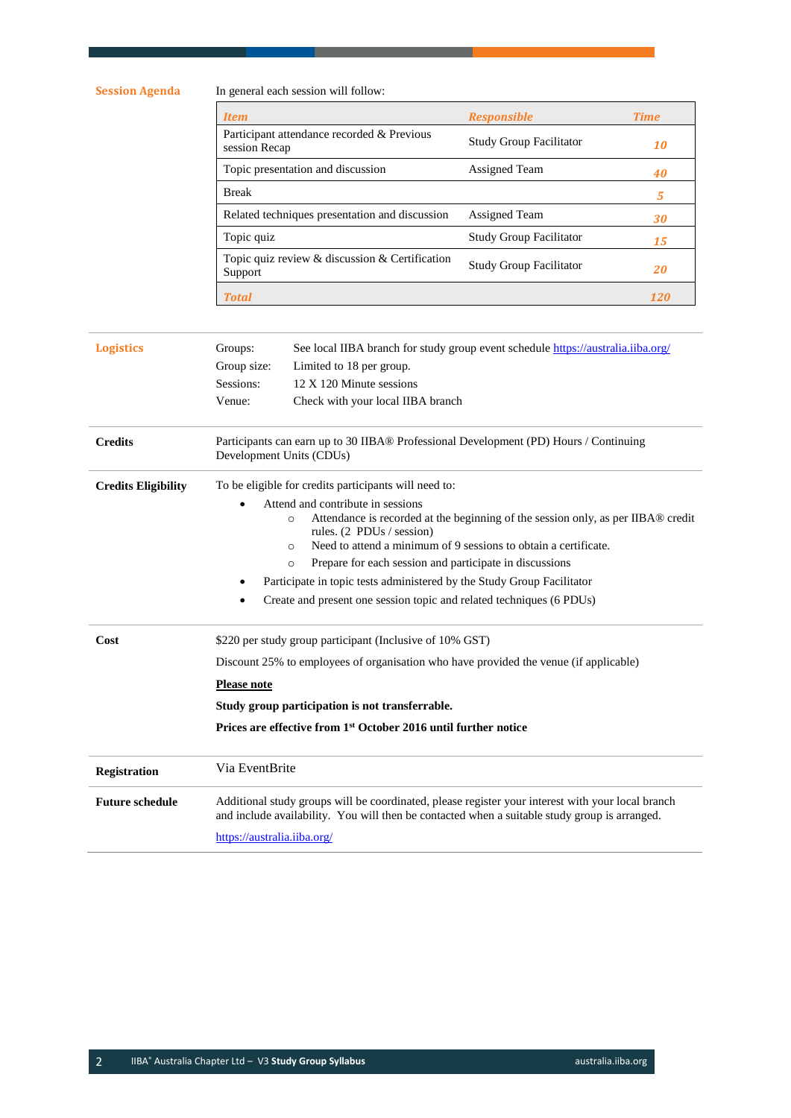**Session Agenda** In general each session will follow:

| <b>Item</b>                                                 | <b>Responsible</b>             | <b>Time</b> |
|-------------------------------------------------------------|--------------------------------|-------------|
| Participant attendance recorded & Previous<br>session Recap | <b>Study Group Facilitator</b> | 10          |
| Topic presentation and discussion                           | <b>Assigned Team</b>           | 40          |
| <b>Break</b>                                                |                                | 5           |
| Related techniques presentation and discussion              | Assigned Team                  | 30          |
| Topic quiz                                                  | <b>Study Group Facilitator</b> | 15          |
| Topic quiz review & discussion & Certification<br>Support   | <b>Study Group Facilitator</b> | 20          |
| <b>Total</b>                                                |                                |             |

| <b>Logistics</b>           | Groups:                                                                                                                                                                                                                           | See local IIBA branch for study group event schedule https://australia.iiba.org/ |  |
|----------------------------|-----------------------------------------------------------------------------------------------------------------------------------------------------------------------------------------------------------------------------------|----------------------------------------------------------------------------------|--|
|                            | Group size:                                                                                                                                                                                                                       | Limited to 18 per group.                                                         |  |
|                            | Sessions:                                                                                                                                                                                                                         | 12 X 120 Minute sessions                                                         |  |
|                            | Venue:                                                                                                                                                                                                                            | Check with your local IIBA branch                                                |  |
|                            |                                                                                                                                                                                                                                   |                                                                                  |  |
| <b>Credits</b>             | Participants can earn up to 30 IIBA® Professional Development (PD) Hours / Continuing<br>Development Units (CDUs)                                                                                                                 |                                                                                  |  |
| <b>Credits Eligibility</b> | To be eligible for credits participants will need to:                                                                                                                                                                             |                                                                                  |  |
|                            |                                                                                                                                                                                                                                   | Attend and contribute in sessions                                                |  |
|                            | Attendance is recorded at the beginning of the session only, as per IIBA® credit<br>$\circ$<br>rules. (2 PDUs / session)                                                                                                          |                                                                                  |  |
|                            | Need to attend a minimum of 9 sessions to obtain a certificate.<br>$\Omega$                                                                                                                                                       |                                                                                  |  |
|                            |                                                                                                                                                                                                                                   | Prepare for each session and participate in discussions<br>$\circ$               |  |
|                            | Participate in topic tests administered by the Study Group Facilitator                                                                                                                                                            |                                                                                  |  |
|                            |                                                                                                                                                                                                                                   | Create and present one session topic and related techniques (6 PDUs)             |  |
| Cost                       | \$220 per study group participant (Inclusive of 10% GST)                                                                                                                                                                          |                                                                                  |  |
|                            | Discount 25% to employees of organisation who have provided the venue (if applicable)                                                                                                                                             |                                                                                  |  |
|                            | <b>Please note</b>                                                                                                                                                                                                                |                                                                                  |  |
|                            | Study group participation is not transferrable.                                                                                                                                                                                   |                                                                                  |  |
|                            | Prices are effective from 1 <sup>st</sup> October 2016 until further notice                                                                                                                                                       |                                                                                  |  |
| <b>Registration</b>        | Via EventBrite                                                                                                                                                                                                                    |                                                                                  |  |
| <b>Future schedule</b>     | Additional study groups will be coordinated, please register your interest with your local branch<br>and include availability. You will then be contacted when a suitable study group is arranged.<br>https://australia.iiba.org/ |                                                                                  |  |
|                            |                                                                                                                                                                                                                                   |                                                                                  |  |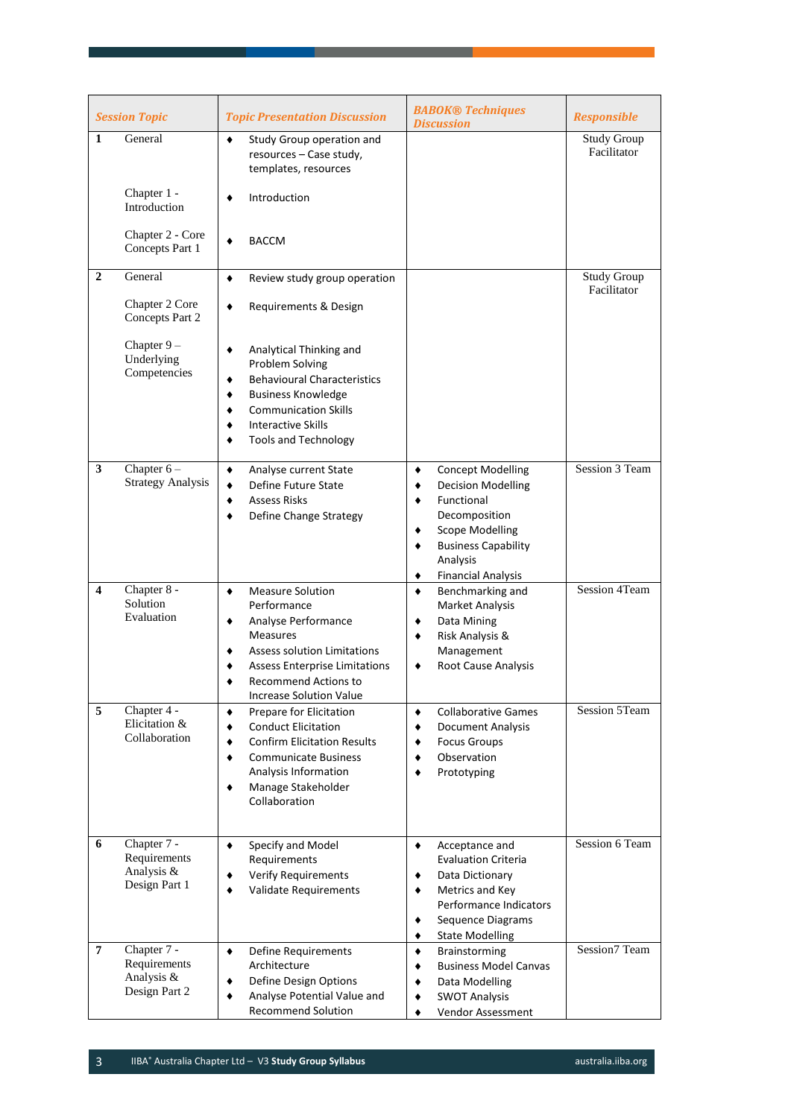| <b>Session Topic</b><br><b>Topic Presentation Discussion</b> |                                                            | <b>BABOK® Techniques</b><br><b>Discussion</b>                                                                                                                                                                                             | <b>Responsible</b>                                                                                                                                                                                                  |                                   |
|--------------------------------------------------------------|------------------------------------------------------------|-------------------------------------------------------------------------------------------------------------------------------------------------------------------------------------------------------------------------------------------|---------------------------------------------------------------------------------------------------------------------------------------------------------------------------------------------------------------------|-----------------------------------|
| $\mathbf{1}$                                                 | General                                                    | Study Group operation and<br>٠<br>resources - Case study,<br>templates, resources                                                                                                                                                         |                                                                                                                                                                                                                     | <b>Study Group</b><br>Facilitator |
|                                                              | Chapter 1 -<br>Introduction                                | Introduction<br>٠                                                                                                                                                                                                                         |                                                                                                                                                                                                                     |                                   |
|                                                              | Chapter 2 - Core<br>Concepts Part 1                        | <b>BACCM</b><br>٠                                                                                                                                                                                                                         |                                                                                                                                                                                                                     |                                   |
| $\mathbf{2}$                                                 | General                                                    | $\blacklozenge$<br>Review study group operation                                                                                                                                                                                           |                                                                                                                                                                                                                     | <b>Study Group</b><br>Facilitator |
|                                                              | Chapter 2 Core<br>Concepts Part 2                          | Requirements & Design<br>٠                                                                                                                                                                                                                |                                                                                                                                                                                                                     |                                   |
|                                                              | Chapter $9-$<br>Underlying<br>Competencies                 | Analytical Thinking and<br>٠<br>Problem Solving<br><b>Behavioural Characteristics</b><br>٠<br><b>Business Knowledge</b><br>٠<br><b>Communication Skills</b><br>٠<br><b>Interactive Skills</b><br>٠<br><b>Tools and Technology</b>         |                                                                                                                                                                                                                     |                                   |
| 3                                                            | Chapter $6-$<br><b>Strategy Analysis</b>                   | Analyse current State<br>۰<br>Define Future State<br>٠<br><b>Assess Risks</b><br>٠<br>Define Change Strategy<br>٠                                                                                                                         | <b>Concept Modelling</b><br>٠<br><b>Decision Modelling</b><br>٠<br>Functional<br>٠<br>Decomposition<br><b>Scope Modelling</b><br>٠<br><b>Business Capability</b><br>٠<br>Analysis<br><b>Financial Analysis</b><br>٠ | Session 3 Team                    |
| 4                                                            | Chapter 8 -<br>Solution<br>Evaluation                      | <b>Measure Solution</b><br>٠<br>Performance<br>Analyse Performance<br>٠<br><b>Measures</b><br><b>Assess solution Limitations</b><br><b>Assess Enterprise Limitations</b><br><b>Recommend Actions to</b><br><b>Increase Solution Value</b> | Benchmarking and<br>٠<br>Market Analysis<br>Data Mining<br>٠<br>Risk Analysis &<br>٠<br>Management<br><b>Root Cause Analysis</b><br>٠                                                                               | Session 4Team                     |
| 5                                                            | Chapter 4 -<br>Elicitation &<br>Collaboration              | Prepare for Elicitation<br>٠<br><b>Conduct Elicitation</b><br>٠<br><b>Confirm Elicitation Results</b><br>٠<br><b>Communicate Business</b><br>٠<br>Analysis Information<br>Manage Stakeholder<br>٠<br>Collaboration                        | <b>Collaborative Games</b><br>٠<br>Document Analysis<br>٠<br><b>Focus Groups</b><br>٠<br>Observation<br>٠<br>Prototyping<br>٠                                                                                       | Session 5Team                     |
| 6                                                            | Chapter 7 -<br>Requirements<br>Analysis &<br>Design Part 1 | Specify and Model<br>٠<br>Requirements<br><b>Verify Requirements</b><br>٠<br>Validate Requirements<br>٠                                                                                                                                   | Acceptance and<br>٠<br><b>Evaluation Criteria</b><br>Data Dictionary<br>٠<br>Metrics and Key<br>٠<br>Performance Indicators<br>Sequence Diagrams<br>٠<br><b>State Modelling</b><br>٠                                | Session 6 Team                    |
| $\overline{7}$                                               | Chapter 7 -<br>Requirements<br>Analysis &<br>Design Part 2 | Define Requirements<br>$\blacklozenge$<br>Architecture<br>Define Design Options<br>٠<br>Analyse Potential Value and<br>٠<br><b>Recommend Solution</b>                                                                                     | Brainstorming<br>٠<br><b>Business Model Canvas</b><br>٠<br>Data Modelling<br>٠<br><b>SWOT Analysis</b><br>٠<br>Vendor Assessment                                                                                    | Session7 Team                     |